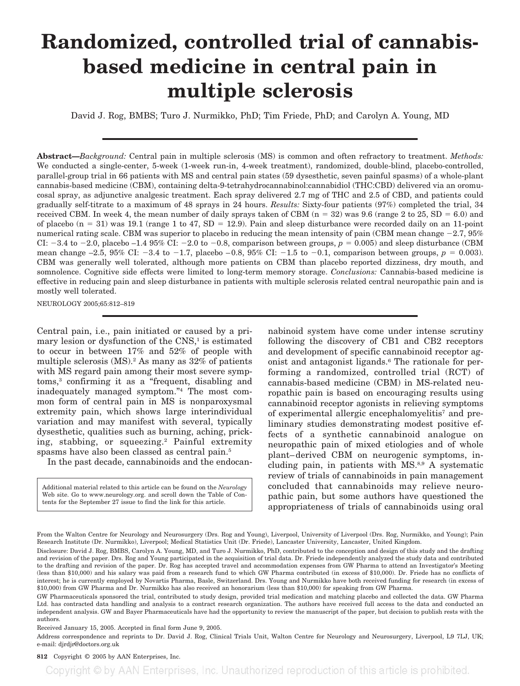# **Randomized, controlled trial of cannabisbased medicine in central pain in multiple sclerosis**

David J. Rog, BMBS; Turo J. Nurmikko, PhD; Tim Friede, PhD; and Carolyn A. Young, MD

**Abstract—***Background:* Central pain in multiple sclerosis (MS) is common and often refractory to treatment. *Methods:* We conducted a single-center, 5-week (1-week run-in, 4-week treatment), randomized, double-blind, placebo-controlled, parallel-group trial in 66 patients with MS and central pain states (59 dysesthetic, seven painful spasms) of a whole-plant cannabis-based medicine (CBM), containing delta-9-tetrahydrocannabinol:cannabidiol (THC:CBD) delivered via an oromucosal spray, as adjunctive analgesic treatment. Each spray delivered 2.7 mg of THC and 2.5 of CBD, and patients could gradually self-titrate to a maximum of 48 sprays in 24 hours. *Results:* Sixty-four patients (97%) completed the trial, 34 received CBM. In week 4, the mean number of daily sprays taken of CBM  $(n = 32)$  was 9.6 (range 2 to 25, SD = 6.0) and of placebo  $(n = 31)$  was 19.1 (range 1 to 47, SD = 12.9). Pain and sleep disturbance were recorded daily on an 11-point numerical rating scale. CBM was superior to placebo in reducing the mean intensity of pain (CBM mean change  $-2.7, 95\%$ CI:  $-3.4$  to  $-2.0$ , placebo  $-1.4$  95% CI:  $-2.0$  to  $-0.8$ , comparison between groups,  $p = 0.005$ ) and sleep disturbance (CBM mean change -2.5, 95% CI: -3.4 to -1.7, placebo -0.8, 95% CI: -1.5 to -0.1, comparison between groups,  $p = 0.003$ ). CBM was generally well tolerated, although more patients on CBM than placebo reported dizziness, dry mouth, and somnolence. Cognitive side effects were limited to long-term memory storage. *Conclusions:* Cannabis-based medicine is effective in reducing pain and sleep disturbance in patients with multiple sclerosis related central neuropathic pain and is mostly well tolerated.

NEUROLOGY 2005;65:812–819

Central pain, i.e., pain initiated or caused by a primary lesion or dysfunction of the CNS,<sup>1</sup> is estimated to occur in between 17% and 52% of people with multiple sclerosis  $(MS)^2$ . As many as 32% of patients with MS regard pain among their most severe symptoms,3 confirming it as a "frequent, disabling and inadequately managed symptom."4 The most common form of central pain in MS is nonparoxysmal extremity pain, which shows large interindividual variation and may manifest with several, typically dysesthetic, qualities such as burning, aching, pricking, stabbing, or squeezing.<sup>2</sup> Painful extremity spasms have also been classed as central pain.5

In the past decade, cannabinoids and the endocan-

Additional material related to this article can be found on the *Neurology* Web site. Go to www.neurology.org. and scroll down the Table of Contents for the September 27 issue to find the link for this article.

nabinoid system have come under intense scrutiny following the discovery of CB1 and CB2 receptors and development of specific cannabinoid receptor agonist and antagonist ligands.6 The rationale for performing a randomized, controlled trial (RCT) of cannabis-based medicine (CBM) in MS-related neuropathic pain is based on encouraging results using cannabinoid receptor agonists in relieving symptoms of experimental allergic encephalomyelitis<sup>7</sup> and preliminary studies demonstrating modest positive effects of a synthetic cannabinoid analogue on neuropathic pain of mixed etiologies and of whole plant– derived CBM on neurogenic symptoms, including pain, in patients with MS.8,9 A systematic review of trials of cannabinoids in pain management concluded that cannabinoids may relieve neuropathic pain, but some authors have questioned the appropriateness of trials of cannabinoids using oral

Received January 15, 2005. Accepted in final form June 9, 2005.

Address correspondence and reprints to Dr. David J. Rog, Clinical Trials Unit, Walton Centre for Neurology and Neurosurgery, Liverpool, L9 7LJ, UK; e-mail: djrdjr@doctors.org.uk

**812** Copyright © 2005 by AAN Enterprises, Inc.

From the Walton Centre for Neurology and Neurosurgery (Drs. Rog and Young), Liverpool, University of Liverpool (Drs. Rog, Nurmikko, and Young); Pain Research Institute (Dr. Nurmikko), Liverpool; Medical Statistics Unit (Dr. Friede), Lancaster University, Lancaster, United Kingdom.

Disclosure: David J. Rog, BMBS, Carolyn A. Young, MD, and Turo J. Nurmikko, PhD, contributed to the conception and design of this study and the drafting and revision of the paper. Drs. Rog and Young participated in the acquisition of trial data. Dr. Friede independently analyzed the study data and contributed to the drafting and revision of the paper. Dr. Rog has accepted travel and accommodation expenses from GW Pharma to attend an Investigator's Meeting (less than \$10,000) and his salary was paid from a research fund to which GW Pharma contributed (in excess of \$10,000). Dr. Friede has no conflicts of interest; he is currently employed by Novartis Pharma, Basle, Switzerland. Drs. Young and Nurmikko have both received funding for research (in excess of \$10,000) from GW Pharma and Dr. Nurmikko has also received an honorarium (less than \$10,000) for speaking from GW Pharma.

GW Pharmaceuticals sponsored the trial, contributed to study design, provided trial medication and matching placebo and collected the data. GW Pharma Ltd. has contracted data handling and analysis to a contract research organization. The authors have received full access to the data and conducted an independent analysis. GW and Bayer Pharmaceuticals have had the opportunity to review the manuscript of the paper, but decision to publish rests with the authors.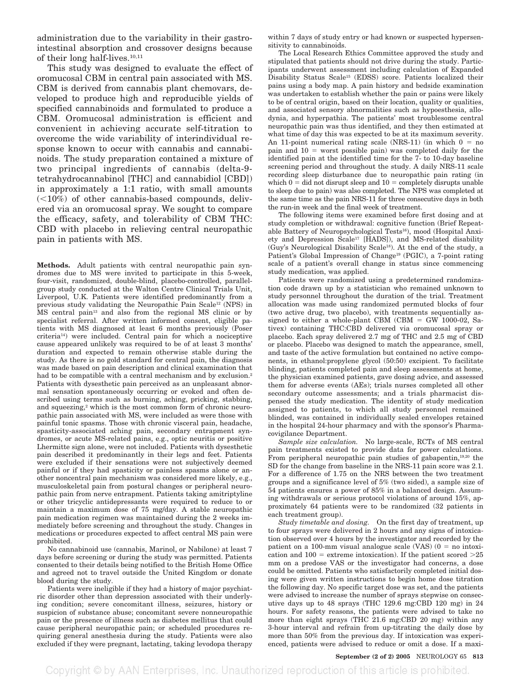administration due to the variability in their gastrointestinal absorption and crossover designs because of their long half-lives. $10,11$ 

This study was designed to evaluate the effect of oromucosal CBM in central pain associated with MS. CBM is derived from cannabis plant chemovars, developed to produce high and reproducible yields of specified cannabinoids and formulated to produce a CBM. Oromucosal administration is efficient and convenient in achieving accurate self-titration to overcome the wide variability of interindividual response known to occur with cannabis and cannabinoids. The study preparation contained a mixture of two principal ingredients of cannabis (delta-9 tetrahydrocannabinol [THC] and cannabidiol [CBD]) in approximately a 1:1 ratio, with small amounts  $\langle$  <10%) of other cannabis-based compounds, delivered via an oromucosal spray. We sought to compare the efficacy, safety, and tolerability of CBM THC: CBD with placebo in relieving central neuropathic pain in patients with MS.

**Methods.** Adult patients with central neuropathic pain syndromes due to MS were invited to participate in this 5-week, four-visit, randomized, double-blind, placebo-controlled, parallelgroup study conducted at the Walton Centre Clinical Trials Unit, Liverpool, U.K. Patients were identified predominantly from a previous study validating the Neuropathic Pain Scale12 (NPS) in MS central pain<sup>13</sup> and also from the regional MS clinic or by specialist referral. After written informed consent, eligible patients with MS diagnosed at least 6 months previously (Poser criteria14) were included. Central pain for which a nociceptive cause appeared unlikely was required to be of at least 3 months' duration and expected to remain otherwise stable during the study. As there is no gold standard for central pain, the diagnosis was made based on pain description and clinical examination that had to be compatible with a central mechanism and by exclusion.<sup>2</sup> Patients with dysesthetic pain perceived as an unpleasant abnormal sensation spontaneously occurring or evoked and often described using terms such as burning, aching, pricking, stabbing, and squeezing,<sup>2</sup> which is the most common form of chronic neuropathic pain associated with MS, were included as were those with painful tonic spasms. Those with chronic visceral pain, headache, spasticity-associated aching pain, secondary entrapment syndromes, or acute MS-related pains, e.g., optic neuritis or positive Lhermitte sign alone, were not included. Patients with dysesthetic pain described it predominantly in their legs and feet. Patients were excluded if their sensations were not subjectively deemed painful or if they had spasticity or painless spasms alone or another noncentral pain mechanism was considered more likely, e.g., musculoskeletal pain from postural changes or peripheral neuropathic pain from nerve entrapment. Patients taking amitriptyline or other tricyclic antidepressants were required to reduce to or maintain a maximum dose of 75 mg/day. A stable neuropathic pain medication regimen was maintained during the 2 weeks immediately before screening and throughout the study. Changes in medications or procedures expected to affect central MS pain were prohibited.

No cannabinoid use (cannabis, Marinol, or Nabilone) at least 7 days before screening or during the study was permitted. Patients consented to their details being notified to the British Home Office and agreed not to travel outside the United Kingdom or donate blood during the study.

Patients were ineligible if they had a history of major psychiatric disorder other than depression associated with their underlying condition; severe concomitant illness, seizures, history or suspicion of substance abuse; concomitant severe nonneuropathic pain or the presence of illness such as diabetes mellitus that could cause peripheral neuropathic pain; or scheduled procedures requiring general anesthesia during the study. Patients were also excluded if they were pregnant, lactating, taking levodopa therapy within 7 days of study entry or had known or suspected hypersensitivity to cannabinoids.

The Local Research Ethics Committee approved the study and stipulated that patients should not drive during the study. Participants underwent assessment including calculation of Expanded Disability Status Scale<sup>15</sup> (EDSS) score. Patients localized their pains using a body map. A pain history and bedside examination was undertaken to establish whether the pain or pains were likely to be of central origin, based on their location, quality or qualities, and associated sensory abnormalities such as hypoesthesia, allodynia, and hyperpathia. The patients' most troublesome central neuropathic pain was thus identified, and they then estimated at what time of day this was expected to be at its maximum severity. An 11-point numerical rating scale (NRS-11) (in which  $0 = no$ pain and  $10 =$  worst possible pain) was completed daily for the identified pain at the identified time for the 7- to 10-day baseline screening period and throughout the study. A daily NRS-11 scale recording sleep disturbance due to neuropathic pain rating (in which  $0 = \text{did not disrupt sleep}$  and  $10 = \text{completely disrupts unable}$ to sleep due to pain) was also completed. The NPS was completed at the same time as the pain NRS-11 for three consecutive days in both the run-in week and the final week of treatment.

The following items were examined before first dosing and at study completion or withdrawal: cognitive function (Brief Repeatable Battery of Neuropsychological Tests16), mood (Hospital Anxiety and Depression Scale17 [HADS]), and MS-related disability (Guy's Neurological Disability Scale18). At the end of the study, a Patient's Global Impression of Change19 (PGIC), a 7-point rating scale of a patient's overall change in status since commencing study medication, was applied.

Patients were randomized using a predetermined randomization code drawn up by a statistician who remained unknown to study personnel throughout the duration of the trial. Treatment allocation was made using randomized permuted blocks of four (two active drug, two placebo), with treatments sequentially assigned to either a whole-plant CBM (CBM  $=$  GW 1000-02, Sativex) containing THC:CBD delivered via oromucosal spray or placebo. Each spray delivered 2.7 mg of THC and 2.5 mg of CBD or placebo. Placebo was designed to match the appearance, smell, and taste of the active formulation but contained no active components, in ethanol:propylene glycol (50:50) excipient. To facilitate blinding, patients completed pain and sleep assessments at home, the physician examined patients, gave dosing advice, and assessed them for adverse events (AEs); trials nurses completed all other secondary outcome assessments; and a trials pharmacist dispensed the study medication. The identity of study medication assigned to patients, to which all study personnel remained blinded, was contained in individually sealed envelopes retained in the hospital 24-hour pharmacy and with the sponsor's Pharmacovigilance Department.

*Sample size calculation.* No large-scale, RCTs of MS central pain treatments existed to provide data for power calculations. From peripheral neuropathic pain studies of gabapentin,<sup>19,20</sup> the SD for the change from baseline in the NRS-11 pain score was 2.1. For a difference of 1.75 on the NRS between the two treatment groups and a significance level of 5% (two sided), a sample size of 54 patients ensures a power of 85% in a balanced design. Assuming withdrawals or serious protocol violations of around 15%, approximately 64 patients were to be randomized (32 patients in each treatment group).

*Study timetable and dosing.* On the first day of treatment, up to four sprays were delivered in 2 hours and any signs of intoxication observed over 4 hours by the investigator and recorded by the patient on a 100-mm visual analogue scale (VAS) ( $0 =$  no intoxication and  $100 =$  extreme intoxication). If the patient scored  $>25$ mm on a predose VAS or the investigator had concerns, a dose could be omitted. Patients who satisfactorily completed initial dosing were given written instructions to begin home dose titration the following day. No specific target dose was set, and the patients were advised to increase the number of sprays stepwise on consecutive days up to 48 sprays (THC 129.6 mg:CBD 120 mg) in 24 hours. For safety reasons, the patients were advised to take no more than eight sprays (THC 21.6 mg:CBD 20 mg) within any 3-hour interval and refrain from up-titrating the daily dose by more than 50% from the previous day. If intoxication was experienced, patients were advised to reduce or omit a dose. If a maxi-

#### **September (2 of 2) 2005** NEUROLOGY 65 **813**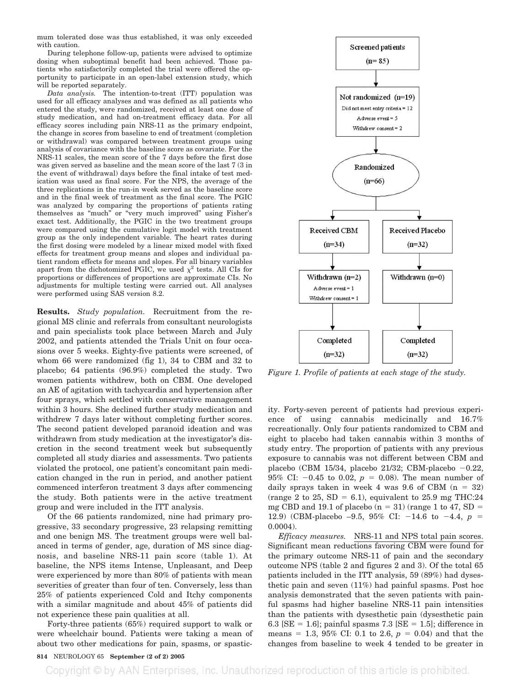mum tolerated dose was thus established, it was only exceeded with caution.

During telephone follow-up, patients were advised to optimize dosing when suboptimal benefit had been achieved. Those patients who satisfactorily completed the trial were offered the opportunity to participate in an open-label extension study, which will be reported separately.

*Data analysis.* The intention-to-treat (ITT) population was used for all efficacy analyses and was defined as all patients who entered the study, were randomized, received at least one dose of study medication, and had on-treatment efficacy data. For all efficacy scores including pain NRS-11 as the primary endpoint, the change in scores from baseline to end of treatment (completion or withdrawal) was compared between treatment groups using analysis of covariance with the baseline score as covariate. For the NRS-11 scales, the mean score of the 7 days before the first dose was given served as baseline and the mean score of the last 7 (3 in the event of withdrawal) days before the final intake of test medication was used as final score. For the NPS, the average of the three replications in the run-in week served as the baseline score and in the final week of treatment as the final score. The PGIC was analyzed by comparing the proportions of patients rating themselves as "much" or "very much improved" using Fisher's exact test. Additionally, the PGIC in the two treatment groups were compared using the cumulative logit model with treatment group as the only independent variable. The heart rates during the first dosing were modeled by a linear mixed model with fixed effects for treatment group means and slopes and individual patient random effects for means and slopes. For all binary variables apart from the dichotomized PGIC, we used  $\chi^2$  tests. All CIs for proportions or differences of proportions are approximate CIs. No adjustments for multiple testing were carried out. All analyses were performed using SAS version 8.2.

**Results.** *Study population.* Recruitment from the regional MS clinic and referrals from consultant neurologists and pain specialists took place between March and July 2002, and patients attended the Trials Unit on four occasions over 5 weeks. Eighty-five patients were screened, of whom 66 were randomized (fig 1), 34 to CBM and 32 to placebo; 64 patients (96.9%) completed the study. Two women patients withdrew, both on CBM. One developed an AE of agitation with tachycardia and hypertension after four sprays, which settled with conservative management within 3 hours. She declined further study medication and withdrew 7 days later without completing further scores. The second patient developed paranoid ideation and was withdrawn from study medication at the investigator's discretion in the second treatment week but subsequently completed all study diaries and assessments. Two patients violated the protocol, one patient's concomitant pain medication changed in the run in period, and another patient commenced interferon treatment 3 days after commencing the study. Both patients were in the active treatment group and were included in the ITT analysis.

Of the 66 patients randomized, nine had primary progressive, 33 secondary progressive, 23 relapsing remitting and one benign MS. The treatment groups were well balanced in terms of gender, age, duration of MS since diagnosis, and baseline NRS-11 pain score (table 1). At baseline, the NPS items Intense, Unpleasant, and Deep were experienced by more than 80% of patients with mean severities of greater than four of ten. Conversely, less than 25% of patients experienced Cold and Itchy components with a similar magnitude and about 45% of patients did not experience these pain qualities at all.

Forty-three patients (65%) required support to walk or were wheelchair bound. Patients were taking a mean of about two other medications for pain, spasms, or spastic-



*Figure 1. Profile of patients at each stage of the study.*

ity. Forty-seven percent of patients had previous experience of using cannabis medicinally and 16.7% recreationally. Only four patients randomized to CBM and eight to placebo had taken cannabis within 3 months of study entry. The proportion of patients with any previous exposure to cannabis was not different between CBM and placebo (CBM 15/34, placebo 21/32; CBM-placebo -0.22,  $95\%$  CI:  $-0.45$  to 0.02,  $p = 0.08$ ). The mean number of daily sprays taken in week 4 was  $9.6$  of CBM (n = 32) (range 2 to 25, SD = 6.1), equivalent to 25.9 mg THC:24 mg CBD and 19.1 of placebo  $(n = 31)$  (range 1 to 47, SD = 12.9) (CBM-placebo  $-9.5$ ,  $95\%$  CI:  $-14.6$  to  $-4.4$ ,  $p =$ 0.0004).

*Efficacy measures.* NRS-11 and NPS total pain scores. Significant mean reductions favoring CBM were found for the primary outcome NRS-11 of pain and the secondary outcome NPS (table 2 and figures 2 and 3). Of the total 65 patients included in the ITT analysis, 59 (89%) had dysesthetic pain and seven (11%) had painful spasms. Post hoc analysis demonstrated that the seven patients with painful spasms had higher baseline NRS-11 pain intensities than the patients with dysesthetic pain (dysesthetic pain 6.3 [SE = 1.6]; painful spasms 7.3 [SE = 1.5]; difference in means = 1.3, 95% CI: 0.1 to 2.6,  $p = 0.04$ ) and that the changes from baseline to week 4 tended to be greater in

# **814** NEUROLOGY 65 **September (2 of 2) 2005**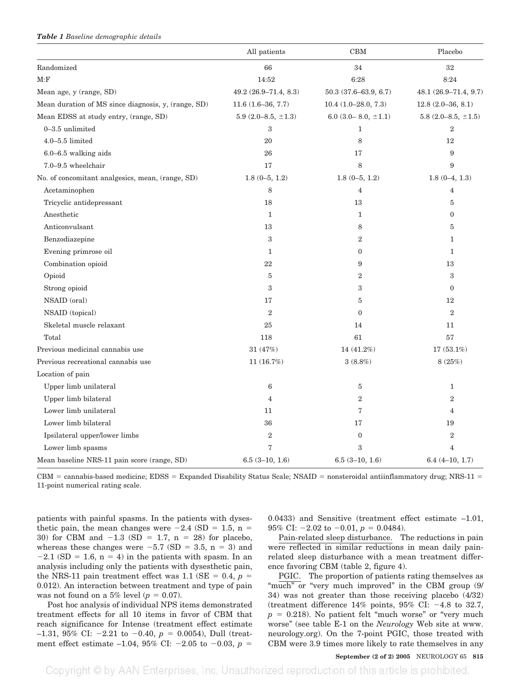|                                                     | All patients               | <b>CBM</b>                 | Placebo                    |
|-----------------------------------------------------|----------------------------|----------------------------|----------------------------|
| Randomized                                          | 66                         | 34                         | 32                         |
| M:F                                                 | 14:52                      | 6:28                       | 8:24                       |
| Mean age, y (range, SD)                             | $49.2 (26.9 - 71.4, 8.3)$  | $50.3(37.6 - 63.9, 6.7)$   | $48.1(26.9 - 71.4, 9.7)$   |
| Mean duration of MS since diagnosis, y, (range, SD) | $11.6(1.6-36, 7.7)$        | $10.4$ $(1.0-28.0, 7.3)$   | $12.8(2.0 - 36, 8.1)$      |
| Mean EDSS at study entry, (range, SD)               | 5.9 $(2.0 - 8.5, \pm 1.3)$ | 6.0 (3.0 – 8.0, $\pm$ 1.1) | 5.8 $(2.0 - 8.5, \pm 1.5)$ |
| $0-3.5$ unlimited                                   | 3                          | $\mathbf{1}$               | $\,2$                      |
| $4.0 - 5.5$ limited                                 | 20                         | 8                          | 12                         |
| 6.0-6.5 walking aids                                | 26                         | 17                         | 9                          |
| 7.0-9.5 wheelchair                                  | 17                         | 8                          | 9                          |
| No. of concomitant analgesics, mean, (range, SD)    | $1.8(0-5, 1.2)$            | $1.8(0-5, 1.2)$            | $1.8(0-4, 1.3)$            |
| Acetaminophen                                       | 8                          | $\overline{4}$             | $\overline{4}$             |
| Tricyclic antidepressant                            | 18                         | 13                         | 5                          |
| Anesthetic                                          | 1                          | 1                          | $\overline{0}$             |
| Anticonvulsant                                      | 13                         | 8                          | 5                          |
| Benzodiazepine                                      | 3                          | $\overline{2}$             | 1                          |
| Evening primrose oil                                | 1                          | $\boldsymbol{0}$           | $\mathbf{1}$               |
| Combination opioid                                  | 22                         | 9                          | 13                         |
| Opioid                                              | $\bf 5$                    | $\overline{2}$             | 3                          |
| Strong opioid                                       | 3                          | 3                          | $\mathbf{0}$               |
| NSAID (oral)                                        | 17                         | 5                          | 12                         |
| NSAID (topical)                                     | $\overline{2}$             | $\mathbf{0}$               | $\,2$                      |
| Skeletal muscle relaxant                            | 25                         | 14                         | 11                         |
| Total                                               | 118                        | 61                         | 57                         |
| Previous medicinal cannabis use                     | 31(47%)                    | 14 (41.2%)                 | $17(53.1\%)$               |
| Previous recreational cannabis use                  | 11 (16.7%)                 | 3(8.8%)                    | 8(25%)                     |
| Location of pain                                    |                            |                            |                            |
| Upper limb unilateral                               | 6                          | 5                          | $\mathbf{1}$               |
| Upper limb bilateral                                | 4                          | $\overline{2}$             | $\overline{2}$             |
| Lower limb unilateral                               | 11                         | 7                          | $\overline{4}$             |
| Lower limb bilateral                                | 36                         | 17                         | 19                         |
| Ipsilateral upper/lower limbs                       | $\,2$                      | $\boldsymbol{0}$           | $\overline{2}$             |
| Lower limb spasms                                   | 7                          | 3                          | $\overline{4}$             |
| Mean baseline NRS-11 pain score (range, SD)         | $6.5(3-10, 1.6)$           | $6.5(3-10, 1.6)$           | $6.4(4-10, 1.7)$           |

 $CBM =$  cannabis-based medicine;  $EDSS =$  Expanded Disability Status Scale; NSAID = nonsteroidal antiinflammatory drug; NRS-11 = 11-point numerical rating scale.

patients with painful spasms. In the patients with dysesthetic pain, the mean changes were  $-2.4$  (SD = 1.5, n = 30) for CBM and  $-1.3$  (SD = 1.7, n = 28) for placebo, whereas these changes were  $-5.7$  (SD = 3.5, n = 3) and  $-2.1$  (SD = 1.6, n = 4) in the patients with spasm. In an analysis including only the patients with dysesthetic pain, the NRS-11 pain treatment effect was 1.1 (SE =  $0.4, p =$ 0.012). An interaction between treatment and type of pain was not found on a 5% level ( $p = 0.07$ ).

Post hoc analysis of individual NPS items demonstrated treatment effects for all 10 items in favor of CBM that reach significance for Intense (treatment effect estimate  $-1.31, 95\%$  CI:  $-2.21$  to  $-0.40, p = 0.0054$ ), Dull (treatment effect estimate  $-1.04$ , 95% CI:  $-2.05$  to  $-0.03$ ,  $p =$  0.0433) and Sensitive (treatment effect estimate –1.01,  $95\%$  CI:  $-2.02$  to  $-0.01$ ,  $p = 0.0484$ ).

Pain-related sleep disturbance. The reductions in pain were reflected in similar reductions in mean daily painrelated sleep disturbance with a mean treatment difference favoring CBM (table 2, figure 4).

PGIC. The proportion of patients rating themselves as "much" or "very much improved" in the CBM group  $(9/$ 34) was not greater than those receiving placebo (4/32) (treatment difference  $14\%$  points,  $95\%$  CI:  $-4.8$  to 32.7,  $p = 0.218$ ). No patient felt "much worse" or "very much worse" (see table E-1 on the *Neurology* Web site at www. neurology.org). On the 7-point PGIC, those treated with CBM were 3.9 times more likely to rate themselves in any

#### **September (2 of 2) 2005** NEUROLOGY 65 **815**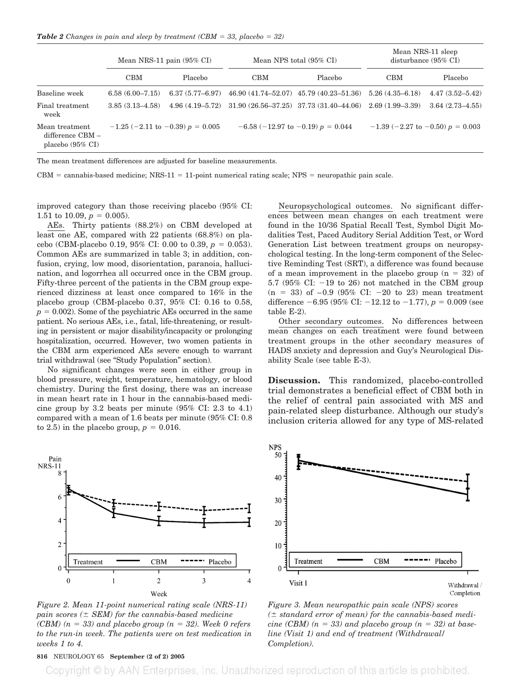*Table 2 Changes in pain and sleep by treatment (CBM = 33, placebo = 32)* 

|                                                                   | Mean NRS-11 pain $(95\% \text{ CI})$ |                                      | Mean NPS total (95% CI)                                                       |                                       | Mean NRS-11 sleep<br>disturbance $(95\% \text{ CI})$ |                                      |
|-------------------------------------------------------------------|--------------------------------------|--------------------------------------|-------------------------------------------------------------------------------|---------------------------------------|------------------------------------------------------|--------------------------------------|
|                                                                   | <b>CBM</b>                           | Placebo                              | <b>CBM</b>                                                                    | Placebo                               | <b>CBM</b>                                           | Placebo                              |
| Baseline week                                                     | $6.58(6.00-7.15)$                    |                                      | $6.37(5.77-6.97)$ $46.90(41.74-52.07)$ $45.79(40.23-51.36)$ $5.26(4.35-6.18)$ |                                       |                                                      | $4.47(3.52 - 5.42)$                  |
| Final treatment<br>week                                           | $3.85(3.13 - 4.58)$                  | $4.96(4.19 - 5.72)$                  | $31.90 (26.56 - 37.25)$ $37.73 (31.40 - 44.06)$                               |                                       | $2.69(1.99 - 3.39)$                                  | $3.64(2.73 - 4.55)$                  |
| Mean treatment<br>difference CBM –<br>placebo $(95\% \text{ CI})$ |                                      | $-1.25$ (-2.11 to -0.39) $p = 0.005$ |                                                                               | $-6.58$ (-12.97 to -0.19) $p = 0.044$ |                                                      | $-1.39$ (-2.27 to -0.50) $p = 0.003$ |

The mean treatment differences are adjusted for baseline measurements.

 $CBM =$  cannabis-based medicine; NRS-11 = 11-point numerical rating scale; NPS = neuropathic pain scale.

improved category than those receiving placebo (95% CI: 1.51 to 10.09,  $p = 0.005$ ).

AEs. Thirty patients (88.2%) on CBM developed at least one AE, compared with 22 patients (68.8%) on placebo (CBM-placebo 0.19, 95% CI: 0.00 to 0.39,  $p = 0.053$ ). Common AEs are summarized in table 3; in addition, confusion, crying, low mood, disorientation, paranoia, hallucination, and logorrhea all occurred once in the CBM group. Fifty-three percent of the patients in the CBM group experienced dizziness at least once compared to 16% in the placebo group (CBM-placebo 0.37, 95% CI: 0.16 to 0.58,  $p = 0.002$ ). Some of the psychiatric AEs occurred in the same patient. No serious AEs, i.e., fatal, life-threatening, or resulting in persistent or major disability/incapacity or prolonging hospitalization, occurred. However, two women patients in the CBM arm experienced AEs severe enough to warrant trial withdrawal (see "Study Population" section).

No significant changes were seen in either group in blood pressure, weight, temperature, hematology, or blood chemistry. During the first dosing, there was an increase in mean heart rate in 1 hour in the cannabis-based medicine group by 3.2 beats per minute (95% CI: 2.3 to 4.1) compared with a mean of 1.6 beats per minute (95% CI: 0.8 to 2.5) in the placebo group,  $p = 0.016$ .



*Figure 2. Mean 11-point numerical rating scale (NRS-11) pain scores ( SEM) for the cannabis-based medicine (CBM)*  $(n = 33)$  and placebo group  $(n = 32)$ . Week 0 refers *to the run-in week. The patients were on test medication in weeks 1 to 4.*

Neuropsychological outcomes. No significant differences between mean changes on each treatment were found in the 10/36 Spatial Recall Test, Symbol Digit Modalities Test, Paced Auditory Serial Addition Test, or Word Generation List between treatment groups on neuropsychological testing. In the long-term component of the Selective Reminding Test (SRT), a difference was found because of a mean improvement in the placebo group  $(n = 32)$  of 5.7 (95% CI: -19 to 26) not matched in the CBM group  $(n = 33)$  of  $-0.9$  (95% CI:  $-20$  to 23) mean treatment difference  $-6.95$  (95% CI:  $-12.12$  to  $-1.77$ ),  $p = 0.009$  (see table E-2).

Other secondary outcomes. No differences between mean changes on each treatment were found between treatment groups in the other secondary measures of HADS anxiety and depression and Guy's Neurological Disability Scale (see table E-3).

**Discussion.** This randomized, placebo-controlled trial demonstrates a beneficial effect of CBM both in the relief of central pain associated with MS and pain-related sleep disturbance. Although our study's inclusion criteria allowed for any type of MS-related



*Figure 3. Mean neuropathic pain scale (NPS) scores ( standard error of mean) for the cannabis-based medicine (CBM)*  $(n = 33)$  and placebo group  $(n = 32)$  at base*line (Visit 1) and end of treatment (Withdrawal/ Completion).*

# **816** NEUROLOGY 65 **September (2 of 2) 2005**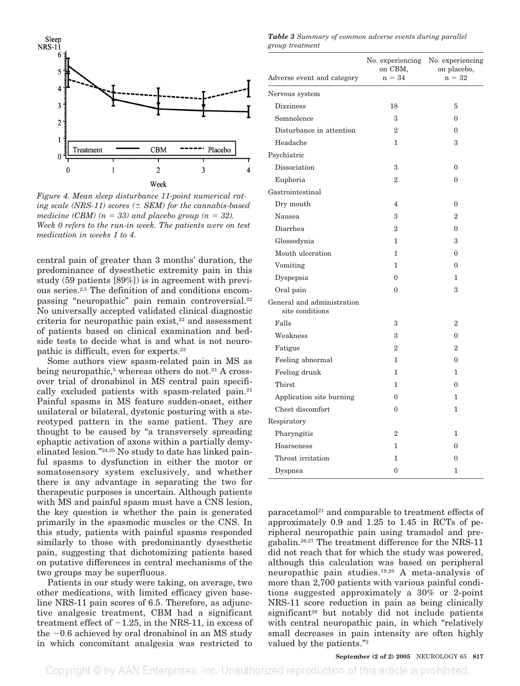

*Figure 4. Mean sleep disturbance 11-point numerical rating scale (NRS-11) scores ( SEM) for the cannabis-based medicine (CBM)*  $(n = 33)$  *and placebo group*  $(n = 32)$ . *Week 0 refers to the run-in week. The patients were on test medication in weeks 1 to 4.*

central pain of greater than 3 months' duration, the predominance of dysesthetic extremity pain in this study (59 patients [89%]) is in agreement with previous series.2,5 The definition of and conditions encompassing "neuropathic" pain remain controversial.22 No universally accepted validated clinical diagnostic criteria for neuropathic pain exist, $22$  and assessment of patients based on clinical examination and bedside tests to decide what is and what is not neuropathic is difficult, even for experts.<sup>23</sup>

Some authors view spasm-related pain in MS as being neuropathic,<sup>5</sup> whereas others do not.<sup>21</sup> A crossover trial of dronabinol in MS central pain specifically excluded patients with spasm-related pain.21 Painful spasms in MS feature sudden-onset, either unilateral or bilateral, dystonic posturing with a stereotyped pattern in the same patient. They are thought to be caused by "a transversely spreading ephaptic activation of axons within a partially demyelinated lesion."24,25 No study to date has linked painful spasms to dysfunction in either the motor or somatosensory system exclusively, and whether there is any advantage in separating the two for therapeutic purposes is uncertain. Although patients with MS and painful spasm must have a CNS lesion, the key question is whether the pain is generated primarily in the spasmodic muscles or the CNS. In this study, patients with painful spasms responded similarly to those with predominantly dysesthetic pain, suggesting that dichotomizing patients based on putative differences in central mechanisms of the two groups may be superfluous.

Patients in our study were taking, on average, two other medications, with limited efficacy given baseline NRS-11 pain scores of 6.5. Therefore, as adjunctive analgesic treatment, CBM had a significant treatment effect of  $-1.25$ , in the NRS-11, in excess of the -0.6 achieved by oral dronabinol in an MS study in which concomitant analgesia was restricted to

*Table 3 Summary of common adverse events during parallel group treatment*

| Adverse event and category                    | No. experiencing<br>on CBM,<br>$n = 34$ | No. experiencing<br>on placebo,<br>$n = 32$ |
|-----------------------------------------------|-----------------------------------------|---------------------------------------------|
| Nervous system                                |                                         |                                             |
| <b>Dizziness</b>                              | 18                                      | 5                                           |
| Somnolence                                    | 3                                       | $\Omega$                                    |
| Disturbance in attention                      | $\overline{2}$                          | $\overline{0}$                              |
| Headache                                      | 1                                       | 3                                           |
| Psychiatric                                   |                                         |                                             |
| Dissociation                                  | 3                                       | $\mathbf{0}$                                |
| Euphoria                                      | $\overline{2}$                          | 0                                           |
| Gastrointestinal                              |                                         |                                             |
| Dry mouth                                     | 4                                       | $\Omega$                                    |
| Nausea                                        | 3                                       | 2                                           |
| Diarrhea                                      | $\overline{2}$                          | $\Omega$                                    |
| Glossodynia                                   | 1                                       | 3                                           |
| Mouth ulceration                              | 1                                       | $\theta$                                    |
| Vomiting                                      | 1                                       | 0                                           |
| Dyspepsia                                     | $\theta$                                | 1                                           |
| Oral pain                                     | $\theta$                                | 3                                           |
| General and administration<br>site conditions |                                         |                                             |
| Falls                                         | 3                                       | $\overline{2}$                              |
| Weakness                                      | 3                                       | $\Omega$                                    |
| Fatigue                                       | $\overline{2}$                          | $\overline{2}$                              |
| Feeling abnormal                              | 1                                       | $\mathbf{0}$                                |
| Feeling drunk                                 | 1                                       | 1                                           |
| Thirst                                        | 1                                       | $\Omega$                                    |
| Application site burning                      | $\mathbf{0}$                            | 1                                           |
| Chest discomfort                              | $\mathbf{0}$                            | 1                                           |
| Respiratory                                   |                                         |                                             |
| Pharyngitis                                   | $\overline{2}$                          | $\mathbf{1}$                                |
| Hoarseness                                    | 1                                       | $\theta$                                    |
| Throat irritation                             | 1                                       | $\Omega$                                    |
| Dyspnea                                       | $\mathbf{0}$                            | 1                                           |

paracetamol21 and comparable to treatment effects of approximately 0.9 and 1.25 to 1.45 in RCTs of peripheral neuropathic pain using tramadol and pregabalin.26,27 The treatment difference for the NRS-11 did not reach that for which the study was powered, although this calculation was based on peripheral neuropathic pain studies.19,20 A meta-analysis of more than 2,700 patients with various painful conditions suggested approximately a 30% or 2-point NRS-11 score reduction in pain as being clinically significant<sup>28</sup> but notably did not include patients with central neuropathic pain, in which "relatively small decreases in pain intensity are often highly valued by the patients."2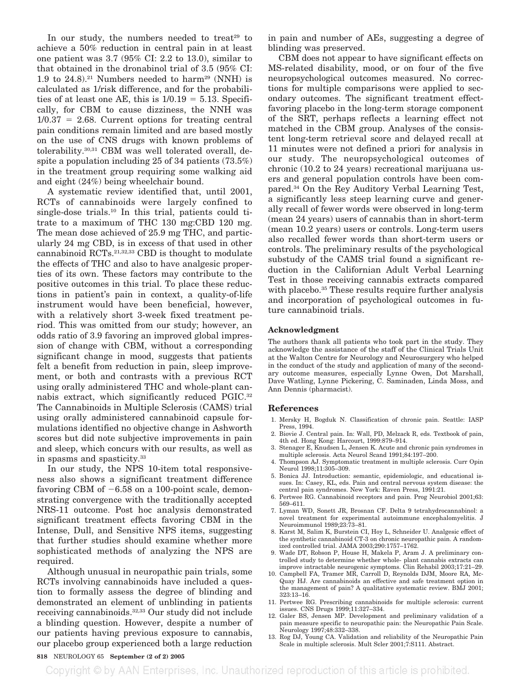In our study, the numbers needed to treat<sup>29</sup> to achieve a 50% reduction in central pain in at least one patient was 3.7 (95% CI: 2.2 to 13.0), similar to that obtained in the dronabinol trial of 3.5 (95% CI: 1.9 to  $24.8$ <sup>21</sup> Numbers needed to harm<sup>29</sup> (NNH) is calculated as 1/risk difference, and for the probabilities of at least one AE, this is  $1/0.19 = 5.13$ . Specifically, for CBM to cause dizziness, the NNH was  $1/0.37 = 2.68$ . Current options for treating central pain conditions remain limited and are based mostly on the use of CNS drugs with known problems of tolerability.30,31 CBM was well tolerated overall, despite a population including 25 of 34 patients (73.5%) in the treatment group requiring some walking aid and eight (24%) being wheelchair bound.

A systematic review identified that, until 2001, RCTs of cannabinoids were largely confined to single-dose trials.<sup>10</sup> In this trial, patients could titrate to a maximum of THC 130 mg:CBD 120 mg. The mean dose achieved of 25.9 mg THC, and particularly 24 mg CBD, is in excess of that used in other cannabinoid RCTs.21,32,33 CBD is thought to modulate the effects of THC and also to have analgesic properties of its own. These factors may contribute to the positive outcomes in this trial. To place these reductions in patient's pain in context, a quality-of-life instrument would have been beneficial, however, with a relatively short 3-week fixed treatment period. This was omitted from our study; however, an odds ratio of 3.9 favoring an improved global impression of change with CBM, without a corresponding significant change in mood, suggests that patients felt a benefit from reduction in pain, sleep improvement, or both and contrasts with a previous RCT using orally administered THC and whole-plant cannabis extract, which significantly reduced PGIC.32 The Cannabinoids in Multiple Sclerosis (CAMS) trial using orally administered cannabinoid capsule formulations identified no objective change in Ashworth scores but did note subjective improvements in pain and sleep, which concurs with our results, as well as in spasms and spasticity.33

In our study, the NPS 10-item total responsiveness also shows a significant treatment difference favoring CBM of  $-6.58$  on a 100-point scale, demonstrating convergence with the traditionally accepted NRS-11 outcome. Post hoc analysis demonstrated significant treatment effects favoring CBM in the Intense, Dull, and Sensitive NPS items, suggesting that further studies should examine whether more sophisticated methods of analyzing the NPS are required.

Although unusual in neuropathic pain trials, some RCTs involving cannabinoids have included a question to formally assess the degree of blinding and demonstrated an element of unblinding in patients receiving cannabinoids.32,33 Our study did not include a blinding question. However, despite a number of our patients having previous exposure to cannabis, our placebo group experienced both a large reduction

in pain and number of AEs, suggesting a degree of blinding was preserved.

CBM does not appear to have significant effects on MS-related disability, mood, or on four of the five neuropsychological outcomes measured. No corrections for multiple comparisons were applied to secondary outcomes. The significant treatment effectfavoring placebo in the long-term storage component of the SRT, perhaps reflects a learning effect not matched in the CBM group. Analyses of the consistent long-term retrieval score and delayed recall at 11 minutes were not defined a priori for analysis in our study. The neuropsychological outcomes of chronic (10.2 to 24 years) recreational marijuana users and general population controls have been compared.34 On the Rey Auditory Verbal Learning Test, a significantly less steep learning curve and generally recall of fewer words were observed in long-term (mean 24 years) users of cannabis than in short-term (mean 10.2 years) users or controls. Long-term users also recalled fewer words than short-term users or controls. The preliminary results of the psychological substudy of the CAMS trial found a significant reduction in the Californian Adult Verbal Learning Test in those receiving cannabis extracts compared with placebo.<sup>35</sup> These results require further analysis and incorporation of psychological outcomes in future cannabinoid trials.

## **Acknowledgment**

The authors thank all patients who took part in the study. They acknowledge the assistance of the staff of the Clinical Trials Unit at the Walton Centre for Neurology and Neurosurgery who helped in the conduct of the study and application of many of the secondary outcome measures, especially Lynne Owen, Dot Marshall, Dave Watling, Lynne Pickering, C. Saminaden, Linda Moss, and Ann Dennis (pharmacist).

#### **References**

- 1. Mersky H, Bogduk N. Classification of chronic pain. Seattle: IASP Press, 1994.
- 2. Biovie J. Central pain. In: Wall, PD, Melzack R, eds. Textbook of pain, 4th ed. Hong Kong: Harcourt, 1999:879–914.
- 3. Stenager E, Knudsen L, Jensen K. Acute and chronic pain syndromes in multiple sclerosis. Acta Neurol Scand 1991;84:197–200.
- 4. Thompson AJ. Symptomatic treatment in multiple sclerosis. Curr Opin Neurol 1998;11:305–309.
- 5. Bonica JJ. Introduction: semantic, epidemiologic, and educational issues. In: Casey, KL, eds. Pain and central nervous system disease: the central pain syndromes. New York: Raven Press, 1991:21.
- 6. Pertwee RG. Cannabinoid receptors and pain. Prog Neurobiol 2001;63: 569–611.
- 7. Lyman WD, Sonett JR, Brosnan CF. Delta 9 tetrahydrocannabinol: a novel treatment for experimental autoimmune encephalomyelitis. J Neuroimmunol 1989;23:73–81.
- 8. Karst M, Salim K, Burstein CI, Hoy L, Schneider U. Analgesic effect of the synthetic cannabinoid CT-3 on chronic neuropathic pain. A randomized controlled trial. JAMA 2003;290:1757–1762.
- 9. Wade DT, Robson P, House H, Makela P, Aram J. A preliminary controlled study to determine whether whole- plant cannabis extracts can improve intractable neurogenic symptoms. Clin Rehabil 2003;17:21–29.
- 10. Campbell FA, Tramer MR, Carroll D, Reynolds DJM, Moore RA, Mc-Quay HJ. Are cannabinoids an effective and safe treatment option in the management of pain? A qualitative systematic review. BMJ 2001; 323:13–16.
- 11. Pertwee RG. Prescribing cannabinoids for multiple sclerosis: current issues. CNS Drugs 1999;11:327–334.
- 12. Galer BS, Jensen MP. Development and preliminary validation of a pain measure specific to neuropathic pain: the Neuropathic Pain Scale. Neurology 1997;48:332–338.
- 13. Rog DJ, Young CA. Validation and reliability of the Neuropathic Pain Scale in multiple sclerosis. Mult Scler 2001;7:S111. Abstract.

#### **818** NEUROLOGY 65 **September (2 of 2) 2005**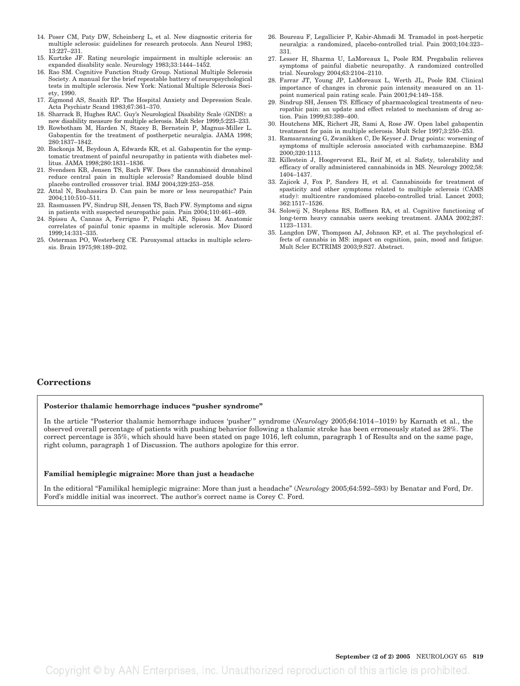- 14. Poser CM, Paty DW, Scheinberg L, et al. New diagnostic criteria for multiple sclerosis: guidelines for research protocols. Ann Neurol 1983; 13:227–231.
- 15. Kurtzke JF. Rating neurologic impairment in multiple sclerosis: an expanded disability scale. Neurology 1983;33:1444–1452.
- 16. Rao SM. Cognitive Function Study Group. National Multiple Sclerosis Society. A manual for the brief repeatable battery of neuropsychological tests in multiple sclerosis. New York: National Multiple Sclerosis Society, 1990.
- 17. Zigmond AS, Snaith RP. The Hospital Anxiety and Depression Scale. Acta Psychiatr Scand 1983;67:361–370.
- 18. Sharrack B, Hughes RAC. Guy's Neurological Disability Scale (GNDS): a new disability measure for multiple sclerosis. Mult Scler 1999;5:223–233.
- 19. Rowbotham M, Harden N, Stacey B, Bernstein P, Magnus-Miller L. Gabapentin for the treatment of postherpetic neuralgia. JAMA 1998; 280:1837–1842.
- 20. Backonja M, Beydoun A, Edwards KR, et al. Gabapentin for the symptomatic treatment of painful neuropathy in patients with diabetes mellitus. JAMA 1998;280:1831–1836.
- 21. Svendsen KB, Jensen TS, Bach FW. Does the cannabinoid dronabinol reduce central pain in multiple sclerosis? Randomised double blind placebo controlled crossover trial. BMJ 2004;329:253–258.
- 22. Attal N, Bouhassira D. Can pain be more or less neuropathic? Pain 2004;110:510–511.
- 23. Rasmussen PV, Sindrup SH, Jensen TS, Bach FW. Symptoms and signs in patients with suspected neuropathic pain. Pain 2004;110:461–469.
- 24. Spissu A, Cannas A, Ferrigno P, Pelaghi AE, Spissu M. Anatomic correlates of painful tonic spasms in multiple sclerosis. Mov Disord 1999;14:331–335.
- 25. Osterman PO, Westerberg CE. Paroxysmal attacks in multiple sclerosis. Brain 1975;98:189–202.
- 26. Boureau F, Legallicier P, Kabir-Ahmadi M. Tramadol in post-herpetic neuralgia: a randomized, placebo-controlled trial. Pain 2003;104:323– 331.
- 27. Lesser H, Sharma U, LaMoreaux L, Poole RM. Pregabalin relieves symptoms of painful diabetic neuropathy. A randomized controlled trial. Neurology 2004;63:2104–2110.
- 28. Farrar JT, Young JP, LaMoreaux L, Werth JL, Poole RM. Clinical importance of changes in chronic pain intensity measured on an 11 point numerical pain rating scale. Pain 2001;94:149–158.
- 29. Sindrup SH, Jensen TS. Efficacy of pharmacological treatments of neuropathic pain: an update and effect related to mechanism of drug action. Pain 1999;83:389–400.
- 30. Houtchens MK, Richert JR, Sami A, Rose JW. Open label gabapentin treatment for pain in multiple sclerosis. Mult Scler 1997;3:250–253.
- 31. Ramsaransing G, Zwanikken C, De Keyser J. Drug points: worsening of symptoms of multiple sclerosis associated with carbamazepine. BMJ 2000;320:1113.
- 32. Killestein J, Hoogervorst EL, Reif M, et al. Safety, tolerability and efficacy of orally administered cannabinoids in MS. Neurology 2002;58: 1404–1437.
- 33. Zajicek J, Fox P, Sanders H, et al. Cannabinoids for treatment of spasticity and other symptoms related to multiple sclerosis (CAMS study): multicentre randomised placebo-controlled trial. Lancet 2003; 362:1517–1526.
- 34. Solowij N, Stephens RS, Roffmen RA, et al. Cognitive functioning of long-term heavy cannabis users seeking treatment. JAMA 2002;287: 1123–1131.
- 35. Langdon DW, Thompson AJ, Johnson KP, et al. The psychological effects of cannabis in MS: impact on cognition, pain, mood and fatigue. Mult Scler ECTRIMS 2003;9:S27. Abstract.

### **Corrections**

#### **Posterior thalamic hemorrhage induces "pusher syndrome"**

In the article "Posterior thalamic hemorrhage induces 'pusher' '' syndrome (*Neurology* 2005;64:1014 –1019) by Karnath et al., the observed overall percentage of patients with pushing behavior following a thalamic stroke has been erroneously stated as 28%. The correct percentage is 35%, which should have been stated on page 1016, left column, paragraph 1 of Results and on the same page, right column, paragraph 1 of Discussion. The authors apologize for this error.

#### **Familial hemiplegic migraine: More than just a headache**

In the editioral "Familikal hemiplegic migraine: More than just a headache" (*Neurology* 2005;64:592–593) by Benatar and Ford, Dr. Ford's middle initial was incorrect. The author's correct name is Corey C. Ford.